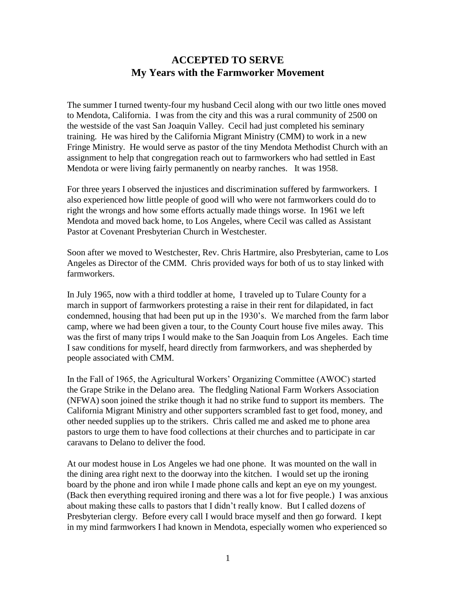## **ACCEPTED TO SERVE My Years with the Farmworker Movement**

The summer I turned twenty-four my husband Cecil along with our two little ones moved to Mendota, California. I was from the city and this was a rural community of 2500 on the westside of the vast San Joaquin Valley. Cecil had just completed his seminary training. He was hired by the California Migrant Ministry (CMM) to work in a new Fringe Ministry. He would serve as pastor of the tiny Mendota Methodist Church with an assignment to help that congregation reach out to farmworkers who had settled in East Mendota or were living fairly permanently on nearby ranches. It was 1958.

For three years I observed the injustices and discrimination suffered by farmworkers. I also experienced how little people of good will who were not farmworkers could do to right the wrongs and how some efforts actually made things worse. In 1961 we left Mendota and moved back home, to Los Angeles, where Cecil was called as Assistant Pastor at Covenant Presbyterian Church in Westchester.

Soon after we moved to Westchester, Rev. Chris Hartmire, also Presbyterian, came to Los Angeles as Director of the CMM. Chris provided ways for both of us to stay linked with farmworkers.

In July 1965, now with a third toddler at home, I traveled up to Tulare County for a march in support of farmworkers protesting a raise in their rent for dilapidated, in fact condemned, housing that had been put up in the 1930's. We marched from the farm labor camp, where we had been given a tour, to the County Court house five miles away. This was the first of many trips I would make to the San Joaquin from Los Angeles. Each time I saw conditions for myself, heard directly from farmworkers, and was shepherded by people associated with CMM.

In the Fall of 1965, the Agricultural Workers' Organizing Committee (AWOC) started the Grape Strike in the Delano area. The fledgling National Farm Workers Association (NFWA) soon joined the strike though it had no strike fund to support its members. The California Migrant Ministry and other supporters scrambled fast to get food, money, and other needed supplies up to the strikers. Chris called me and asked me to phone area pastors to urge them to have food collections at their churches and to participate in car caravans to Delano to deliver the food.

At our modest house in Los Angeles we had one phone. It was mounted on the wall in the dining area right next to the doorway into the kitchen. I would set up the ironing board by the phone and iron while I made phone calls and kept an eye on my youngest. (Back then everything required ironing and there was a lot for five people.) I was anxious about making these calls to pastors that I didn't really know. But I called dozens of Presbyterian clergy. Before every call I would brace myself and then go forward. I kept in my mind farmworkers I had known in Mendota, especially women who experienced so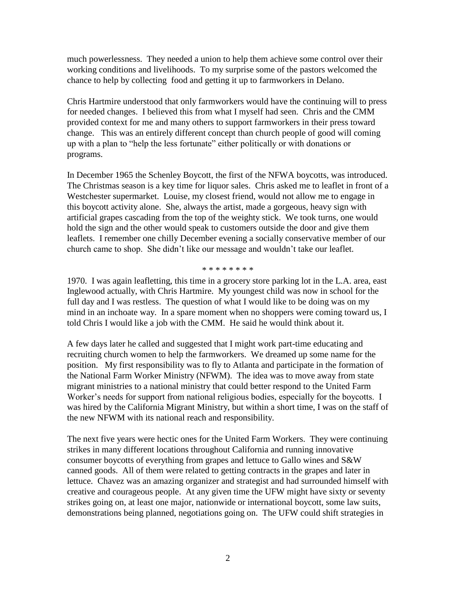much powerlessness. They needed a union to help them achieve some control over their working conditions and livelihoods. To my surprise some of the pastors welcomed the chance to help by collecting food and getting it up to farmworkers in Delano.

Chris Hartmire understood that only farmworkers would have the continuing will to press for needed changes. I believed this from what I myself had seen. Chris and the CMM provided context for me and many others to support farmworkers in their press toward change. This was an entirely different concept than church people of good will coming up with a plan to "help the less fortunate" either politically or with donations or programs.

In December 1965 the Schenley Boycott, the first of the NFWA boycotts, was introduced. The Christmas season is a key time for liquor sales. Chris asked me to leaflet in front of a Westchester supermarket. Louise, my closest friend, would not allow me to engage in this boycott activity alone. She, always the artist, made a gorgeous, heavy sign with artificial grapes cascading from the top of the weighty stick. We took turns, one would hold the sign and the other would speak to customers outside the door and give them leaflets. I remember one chilly December evening a socially conservative member of our church came to shop. She didn't like our message and wouldn't take our leaflet.

\* \* \* \* \* \* \* \*

1970. I was again leafletting, this time in a grocery store parking lot in the L.A. area, east Inglewood actually, with Chris Hartmire. My youngest child was now in school for the full day and I was restless. The question of what I would like to be doing was on my mind in an inchoate way. In a spare moment when no shoppers were coming toward us, I told Chris I would like a job with the CMM. He said he would think about it.

A few days later he called and suggested that I might work part-time educating and recruiting church women to help the farmworkers. We dreamed up some name for the position. My first responsibility was to fly to Atlanta and participate in the formation of the National Farm Worker Ministry (NFWM). The idea was to move away from state migrant ministries to a national ministry that could better respond to the United Farm Worker's needs for support from national religious bodies, especially for the boycotts. I was hired by the California Migrant Ministry, but within a short time, I was on the staff of the new NFWM with its national reach and responsibility.

The next five years were hectic ones for the United Farm Workers. They were continuing strikes in many different locations throughout California and running innovative consumer boycotts of everything from grapes and lettuce to Gallo wines and S&W canned goods. All of them were related to getting contracts in the grapes and later in lettuce. Chavez was an amazing organizer and strategist and had surrounded himself with creative and courageous people. At any given time the UFW might have sixty or seventy strikes going on, at least one major, nationwide or international boycott, some law suits, demonstrations being planned, negotiations going on. The UFW could shift strategies in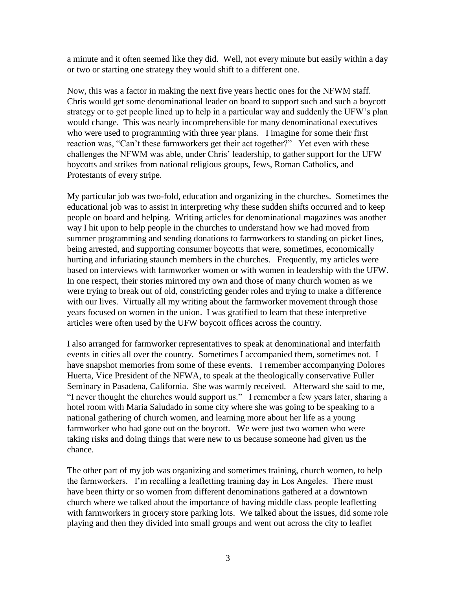a minute and it often seemed like they did. Well, not every minute but easily within a day or two or starting one strategy they would shift to a different one.

Now, this was a factor in making the next five years hectic ones for the NFWM staff. Chris would get some denominational leader on board to support such and such a boycott strategy or to get people lined up to help in a particular way and suddenly the UFW's plan would change. This was nearly incomprehensible for many denominational executives who were used to programming with three year plans. I imagine for some their first reaction was, "Can't these farmworkers get their act together?" Yet even with these challenges the NFWM was able, under Chris' leadership, to gather support for the UFW boycotts and strikes from national religious groups, Jews, Roman Catholics, and Protestants of every stripe.

My particular job was two-fold, education and organizing in the churches. Sometimes the educational job was to assist in interpreting why these sudden shifts occurred and to keep people on board and helping. Writing articles for denominational magazines was another way I hit upon to help people in the churches to understand how we had moved from summer programming and sending donations to farmworkers to standing on picket lines, being arrested, and supporting consumer boycotts that were, sometimes, economically hurting and infuriating staunch members in the churches. Frequently, my articles were based on interviews with farmworker women or with women in leadership with the UFW. In one respect, their stories mirrored my own and those of many church women as we were trying to break out of old, constricting gender roles and trying to make a difference with our lives. Virtually all my writing about the farmworker movement through those years focused on women in the union. I was gratified to learn that these interpretive articles were often used by the UFW boycott offices across the country.

I also arranged for farmworker representatives to speak at denominational and interfaith events in cities all over the country. Sometimes I accompanied them, sometimes not. I have snapshot memories from some of these events. I remember accompanying Dolores Huerta, Vice President of the NFWA, to speak at the theologically conservative Fuller Seminary in Pasadena, California. She was warmly received. Afterward she said to me, "I never thought the churches would support us." I remember a few years later, sharing a hotel room with Maria Saludado in some city where she was going to be speaking to a national gathering of church women, and learning more about her life as a young farmworker who had gone out on the boycott. We were just two women who were taking risks and doing things that were new to us because someone had given us the chance.

The other part of my job was organizing and sometimes training, church women, to help the farmworkers. I'm recalling a leafletting training day in Los Angeles. There must have been thirty or so women from different denominations gathered at a downtown church where we talked about the importance of having middle class people leafletting with farmworkers in grocery store parking lots. We talked about the issues, did some role playing and then they divided into small groups and went out across the city to leaflet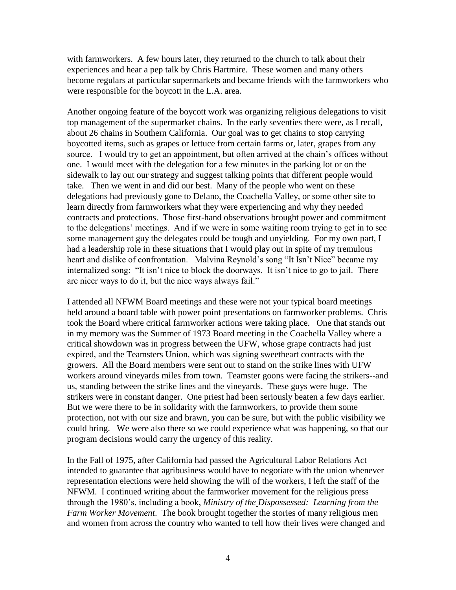with farmworkers. A few hours later, they returned to the church to talk about their experiences and hear a pep talk by Chris Hartmire. These women and many others become regulars at particular supermarkets and became friends with the farmworkers who were responsible for the boycott in the L.A. area.

Another ongoing feature of the boycott work was organizing religious delegations to visit top management of the supermarket chains. In the early seventies there were, as I recall, about 26 chains in Southern California. Our goal was to get chains to stop carrying boycotted items, such as grapes or lettuce from certain farms or, later, grapes from any source. I would try to get an appointment, but often arrived at the chain's offices without one. I would meet with the delegation for a few minutes in the parking lot or on the sidewalk to lay out our strategy and suggest talking points that different people would take. Then we went in and did our best. Many of the people who went on these delegations had previously gone to Delano, the Coachella Valley, or some other site to learn directly from farmworkers what they were experiencing and why they needed contracts and protections. Those first-hand observations brought power and commitment to the delegations' meetings. And if we were in some waiting room trying to get in to see some management guy the delegates could be tough and unyielding. For my own part, I had a leadership role in these situations that I would play out in spite of my tremulous heart and dislike of confrontation. Malvina Reynold's song "It Isn't Nice" became my internalized song: "It isn't nice to block the doorways. It isn't nice to go to jail. There are nicer ways to do it, but the nice ways always fail."

I attended all NFWM Board meetings and these were not your typical board meetings held around a board table with power point presentations on farmworker problems. Chris took the Board where critical farmworker actions were taking place. One that stands out in my memory was the Summer of 1973 Board meeting in the Coachella Valley where a critical showdown was in progress between the UFW, whose grape contracts had just expired, and the Teamsters Union, which was signing sweetheart contracts with the growers. All the Board members were sent out to stand on the strike lines with UFW workers around vineyards miles from town. Teamster goons were facing the strikers--and us, standing between the strike lines and the vineyards. These guys were huge. The strikers were in constant danger. One priest had been seriously beaten a few days earlier. But we were there to be in solidarity with the farmworkers, to provide them some protection, not with our size and brawn, you can be sure, but with the public visibility we could bring. We were also there so we could experience what was happening, so that our program decisions would carry the urgency of this reality.

In the Fall of 1975, after California had passed the Agricultural Labor Relations Act intended to guarantee that agribusiness would have to negotiate with the union whenever representation elections were held showing the will of the workers, I left the staff of the NFWM. I continued writing about the farmworker movement for the religious press through the 1980's, including a book, *Ministry of the Dispossessed: Learning from the Farm Worker Movement*. The book brought together the stories of many religious men and women from across the country who wanted to tell how their lives were changed and